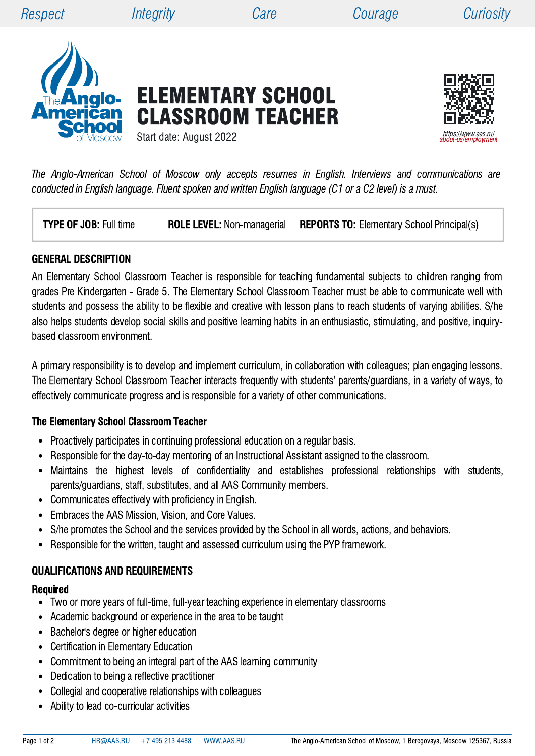ELEMENTARY SCHOOL

CLASSROOM TEACHER





Start date: August 2022

The Anglo-American School of Moscow only accepts resumes in English. Interviews and communications are conducted in English language. Fluent spoken and written English language (C1 or a C2 level) is a must.

**TYPE OF JOB:** Full time **ROLE LEVEL:** Non-managerial **REPORTS TO:** Elementary School Principal(s)

#### GENERAL DESCRIPTION

An Elementary School Classroom Teacher is responsible for teaching fundamental subjects to children ranging from grades Pre Kindergarten - Grade 5. The Elementary School Classroom Teacher must be able to communicate well with students and possess the ability to be flexible and creative with lesson plans to reach students of varying abilities. S/he also helps students develop social skills and positive learning habits in an enthusiastic, stimulating, and positive, inquirybased classroom environment.

A primary responsibility is to develop and implement curriculum, in collaboration with colleagues; plan engaging lessons. The Elementary School Classroom Teacher interacts frequently with students' parents/guardians, in a variety of ways, to effectively communicate progress and is responsible for a variety of other communications.

## The Elementary School Classroom Teacher

- Proactively participates in continuing professional education on a regular basis.
- Responsible for the day-to-day mentoring of an Instructional Assistant assigned to the classroom.  $\bullet$
- Maintains the highest levels of confidentiality and establishes professional relationships with students,  $\bullet$ parents/guardians, staff, substitutes, and all AAS Community members.
- Communicates effectively with proficiency in English.  $\bullet$
- Embraces the AAS Mission, Vision, and Core Values.  $\bullet$
- $\bullet$ S/he promotes the School and the services provided by the School in all words, actions, and behaviors.
- Responsible for the written, taught and assessed curriculum using the PYP framework.

## QUALIFICATIONS AND REQUIREMENTS

#### Required

- Two or more years of full-time, full-year teaching experience in elementary classrooms
- Academic background or experience in the area to be taught  $\bullet$
- Bachelor's degree or higher education  $\bullet$
- Certification in Elementary Education  $\bullet$
- $\bullet$ Commitment to being an integral part of the AAS learning community
- Dedication to being a reflective practitioner  $\bullet$
- $\bullet$ Collegial and cooperative relationships with colleagues
- Ability to lead co-curricular activities